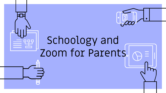

# Schoology and Zoom for Parents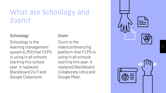### What are Schoology and Zoom?

#### Schoology

Schoology is the learning management system (LMS) that FCPS is using in all schools starting this school year. It replaced Blackboard 24/7 and Google Classroom.

#### Zoom

Zoom is the videoconferencing platform that FCPS is using in all schools starting this year. It replaced Blackboard Collaborate Ultra and Google Meet.

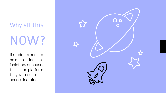Why all this NOW?

If students need to be quarantined, in isolation, or paused, this is the platform they will use to access learning.

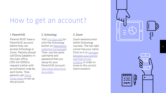### How to get an account?

#### 1. ParentVUE

Parents MUST have a ParentVUE account before they can access Schoology or Zoom. Parents should call Silvia Caballero in the main office (703-241-5100) to request a letter with an activation code be sent home. Then, parents can [follow](https://www.youtube.com/watch?v=hsE49qe7-18) [these steps](https://www.youtube.com/watch?v=hsE49qe7-18) to set up the account.

#### 2. Schoology

Visit [lms.fcps.edu](http://lms.fcps.edu/) (or click the Schoology button on [Westlawn's](https://westlawnes.fcps.edu/) [website's homepage\)](https://westlawnes.fcps.edu/). Then, use the same username and password that you setup for your ParentVUE account. [See these directions](https://youtu.be/uFpqziG248I?list=PLSz76NCRDYQEYrQhq_JtRIF5teeYV54We) [as a video](https://youtu.be/uFpqziG248I?list=PLSz76NCRDYQEYrQhq_JtRIF5teeYV54We).

#### 3. Zoom

Zoom sessions exist within Schoology courses. The top right corner has your name. Click on it to [navigate](https://youtu.be/s9wR4JAnRRw) [between your profile](https://youtu.be/s9wR4JAnRRw) [and that of your](https://youtu.be/s9wR4JAnRRw) [children](https://youtu.be/s9wR4JAnRRw) in order to move to the correct Zoom location.

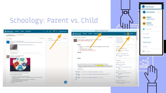

### Schoology: Parent vs. Child

HT.

5

Ima Parent

**Ima Parent** 

 $\checkmark$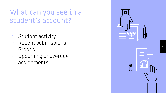## What can you see in a student's account?

- $\triangleright$  Student activity
- ▹ Recent submissions
- ▹ Grades
- ▹ Upcoming or overdue assignments

|   | U |
|---|---|
| 冎 |   |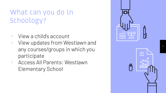# What can you do in Schoology?

- ▹ View a child's account
- ▹ View updates from Westlawn and any courses/groups in which you participate
- ▹ Access All Parents: Westlawn Elementary School

| È | $\mathbf{\hat{H}}$ |
|---|--------------------|
| Ë |                    |

7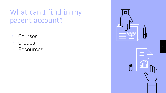## What can I find in my parent account?

- ▹ Courses
- ▹ Groups
- ▹ Resources

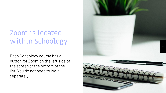# Zoom is located within Schoology

Each Schoology course has a button for Zoom on the left side of the screen at the bottom of the list. You do not need to login separately.

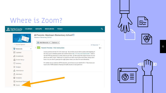### Where is Zoom?

| <b>COURSES</b><br>Fairfax Countv | <b>TOOLS</b><br><b>GROUPS</b><br><b>RESOURCES</b>                                                                                                                                                                                                                                                                                                 | Q  |
|----------------------------------|---------------------------------------------------------------------------------------------------------------------------------------------------------------------------------------------------------------------------------------------------------------------------------------------------------------------------------------------------|----|
|                                  | All Parents: Westlawn Elementary School<br>Westlawn Elementary School                                                                                                                                                                                                                                                                             |    |
| Course Options                   | Add Materials<br>Options v<br>All Materials                                                                                                                                                                                                                                                                                                       |    |
| Materials                        | <b>Parent Preview - FLE Instruction</b>                                                                                                                                                                                                                                                                                                           | 卷。 |
| Updates                          | Lessons posted are for the 2021-2022 school year. Opt out forms are provided to parents at the beginning of                                                                                                                                                                                                                                       |    |
| Gradebook                        | the school year in orientation packets and available online at http://www.fcps.edu/is/hpe/fle.shtml. Media ti-<br>tles that FCPS has permission to stream online are provided. All other media titles listed in lessons are avail-<br>able at your child's school. Media may be viewed at your child's school in the school library during school |    |
| Grade Setup                      | hours or at your school's parent preview night (please contact your school for more information).                                                                                                                                                                                                                                                 |    |
| Mastery                          | For students who are opted out of FLE instruction, opt out lessons are provided for K-10. These lessons are<br>based on the VDOE standards of learning for health education at each grade level.                                                                                                                                                  |    |
| Badges                           |                                                                                                                                                                                                                                                                                                                                                   |    |
| Attendance                       |                                                                                                                                                                                                                                                                                                                                                   |    |
| 息<br>Members                     |                                                                                                                                                                                                                                                                                                                                                   |    |
| Analytics                        |                                                                                                                                                                                                                                                                                                                                                   |    |
| Workload Planning<br>10          |                                                                                                                                                                                                                                                                                                                                                   |    |
| 2 <sub>zoom</sub>                |                                                                                                                                                                                                                                                                                                                                                   |    |

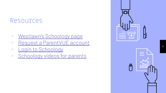#### Resources

- ▹ [Westlawn's Schoology page](https://westlawnes.fcps.edu/academics/schoology)
- ▹ [Request a ParentVUE account](https://youtu.be/hsE49qe7-18)
- ▹ [Login to Schoology](https://lms.fcps.edu/)
- ▹ [Schoology videos for parents](https://www.fcps.edu/schoology/support/videos)

| Æ  | $\pmb{\Downarrow}$ |
|----|--------------------|
| \$ |                    |

11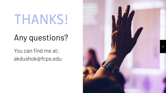# THANKS!

# Any questions?

You can find me at: akdushok@fcps.edu